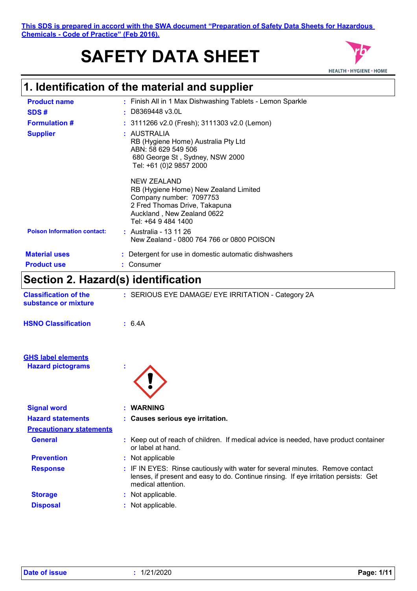**This SDS is prepared in accord with the SWA document "Preparation of Safety Data Sheets for Hazardous Chemicals - Code of Practice" (Feb 2016).**

# **SAFETY DATA SHEET**



# **1. Identification of the material and supplier**

| <b>Product name</b>                | : Finish All in 1 Max Dishwashing Tablets - Lemon Sparkle                                                                                                             |
|------------------------------------|-----------------------------------------------------------------------------------------------------------------------------------------------------------------------|
| SDS#                               | $\pm$ D8369448 v3.0L                                                                                                                                                  |
| <b>Formulation #</b>               | $: 3111266$ v2.0 (Fresh); 3111303 v2.0 (Lemon)                                                                                                                        |
| <b>Supplier</b>                    | : AUSTRALIA<br>RB (Hygiene Home) Australia Pty Ltd<br>ABN: 58 629 549 506<br>680 George St, Sydney, NSW 2000<br>Tel: +61 (0)2 9857 2000                               |
|                                    | NEW ZEALAND<br>RB (Hygiene Home) New Zealand Limited<br>Company number: 7097753<br>2 Fred Thomas Drive, Takapuna<br>Auckland, New Zealand 0622<br>Tel: +64 9 484 1400 |
| <b>Poison Information contact:</b> | : Australia - 13 11 26<br>New Zealand - 0800 764 766 or 0800 POISON                                                                                                   |
| <b>Material uses</b>               | Detergent for use in domestic automatic dishwashers                                                                                                                   |
| <b>Product use</b>                 | Consumer                                                                                                                                                              |
|                                    |                                                                                                                                                                       |

# **Section 2. Hazard(s) identification**

| <b>Classification of the</b><br>substance or mixture  | : SERIOUS EYE DAMAGE/ EYE IRRITATION - Category 2A                                                                                                                                          |  |
|-------------------------------------------------------|---------------------------------------------------------------------------------------------------------------------------------------------------------------------------------------------|--|
| <b>HSNO Classification</b>                            | : 6.4A                                                                                                                                                                                      |  |
| <b>GHS label elements</b><br><b>Hazard pictograms</b> |                                                                                                                                                                                             |  |
| <b>Signal word</b>                                    | : WARNING                                                                                                                                                                                   |  |
| <b>Hazard statements</b>                              | : Causes serious eye irritation.                                                                                                                                                            |  |
| <b>Precautionary statements</b>                       |                                                                                                                                                                                             |  |
| <b>General</b>                                        | : Keep out of reach of children. If medical advice is needed, have product container<br>or label at hand.                                                                                   |  |
| <b>Prevention</b>                                     | : Not applicable                                                                                                                                                                            |  |
| <b>Response</b>                                       | : IF IN EYES: Rinse cautiously with water for several minutes. Remove contact<br>lenses, if present and easy to do. Continue rinsing. If eye irritation persists: Get<br>medical attention. |  |
| <b>Storage</b>                                        | : Not applicable.                                                                                                                                                                           |  |
| <b>Disposal</b>                                       | : Not applicable.                                                                                                                                                                           |  |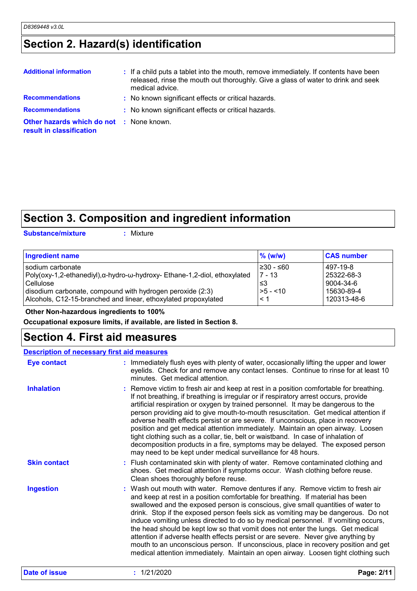# **Section 2. Hazard(s) identification**

| <b>Additional information</b>                                               | : If a child puts a tablet into the mouth, remove immediately. If contents have been<br>released, rinse the mouth out thoroughly. Give a glass of water to drink and seek<br>medical advice. |
|-----------------------------------------------------------------------------|----------------------------------------------------------------------------------------------------------------------------------------------------------------------------------------------|
| <b>Recommendations</b>                                                      | : No known significant effects or critical hazards.                                                                                                                                          |
| <b>Recommendations</b>                                                      | : No known significant effects or critical hazards.                                                                                                                                          |
| <b>Other hazards which do not : None known.</b><br>result in classification |                                                                                                                                                                                              |

# **Section 3. Composition and ingredient information**

**Substance/mixture :**

: Mixture

| <b>Ingredient name</b>                                                   | $%$ (w/w)  | <b>CAS number</b> |
|--------------------------------------------------------------------------|------------|-------------------|
| sodium carbonate                                                         | 1≥30 - ≤60 | 497-19-8          |
| Poly(oxy-1,2-ethanediyl),α-hydro-ω-hydroxy- Ethane-1,2-diol, ethoxylated | 7 - 13     | 25322-68-3        |
| Cellulose                                                                | ՝≤3        | 9004-34-6         |
| disodium carbonate, compound with hydrogen peroxide (2:3)                | l>5 - <10  | 15630-89-4        |
| Alcohols, C12-15-branched and linear, ethoxylated propoxylated           | < 1        | 120313-48-6       |

#### **Other Non-hazardous ingredients to 100%**

**Occupational exposure limits, if available, are listed in Section 8.**

### **Section 4. First aid measures**

#### **Description of necessary first aid measures**

| <b>Eye contact</b>   | : Immediately flush eyes with plenty of water, occasionally lifting the upper and lower<br>eyelids. Check for and remove any contact lenses. Continue to rinse for at least 10<br>minutes. Get medical attention.                                                                                                                                                                                                                                                                                                                                                                                                                                                                                                                                                                    |
|----------------------|--------------------------------------------------------------------------------------------------------------------------------------------------------------------------------------------------------------------------------------------------------------------------------------------------------------------------------------------------------------------------------------------------------------------------------------------------------------------------------------------------------------------------------------------------------------------------------------------------------------------------------------------------------------------------------------------------------------------------------------------------------------------------------------|
| <b>Inhalation</b>    | : Remove victim to fresh air and keep at rest in a position comfortable for breathing.<br>If not breathing, if breathing is irregular or if respiratory arrest occurs, provide<br>artificial respiration or oxygen by trained personnel. It may be dangerous to the<br>person providing aid to give mouth-to-mouth resuscitation. Get medical attention if<br>adverse health effects persist or are severe. If unconscious, place in recovery<br>position and get medical attention immediately. Maintain an open airway. Loosen<br>tight clothing such as a collar, tie, belt or waistband. In case of inhalation of<br>decomposition products in a fire, symptoms may be delayed. The exposed person<br>may need to be kept under medical surveillance for 48 hours.               |
| <b>Skin contact</b>  | : Flush contaminated skin with plenty of water. Remove contaminated clothing and<br>shoes. Get medical attention if symptoms occur. Wash clothing before reuse.<br>Clean shoes thoroughly before reuse.                                                                                                                                                                                                                                                                                                                                                                                                                                                                                                                                                                              |
| <b>Ingestion</b>     | : Wash out mouth with water. Remove dentures if any. Remove victim to fresh air<br>and keep at rest in a position comfortable for breathing. If material has been<br>swallowed and the exposed person is conscious, give small quantities of water to<br>drink. Stop if the exposed person feels sick as vomiting may be dangerous. Do not<br>induce vomiting unless directed to do so by medical personnel. If vomiting occurs,<br>the head should be kept low so that vomit does not enter the lungs. Get medical<br>attention if adverse health effects persist or are severe. Never give anything by<br>mouth to an unconscious person. If unconscious, place in recovery position and get<br>medical attention immediately. Maintain an open airway. Loosen tight clothing such |
| <b>Date of issue</b> | : 1/21/2020<br>Page: 2/11                                                                                                                                                                                                                                                                                                                                                                                                                                                                                                                                                                                                                                                                                                                                                            |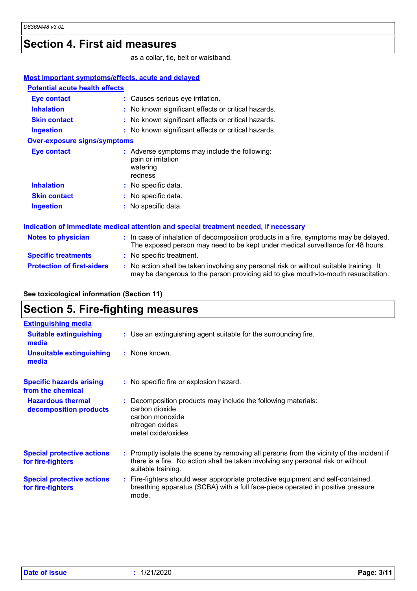### **Section 4. First aid measures**

as a collar, tie, belt or waistband.

| <b>Most important symptoms/effects, acute and delayed</b> |                                                                                                                                                                          |
|-----------------------------------------------------------|--------------------------------------------------------------------------------------------------------------------------------------------------------------------------|
| <b>Potential acute health effects</b>                     |                                                                                                                                                                          |
| <b>Eye contact</b>                                        | : Causes serious eye irritation.                                                                                                                                         |
| <b>Inhalation</b>                                         | : No known significant effects or critical hazards.                                                                                                                      |
| <b>Skin contact</b>                                       | : No known significant effects or critical hazards.                                                                                                                      |
| <b>Ingestion</b>                                          | : No known significant effects or critical hazards.                                                                                                                      |
| <b>Over-exposure signs/symptoms</b>                       |                                                                                                                                                                          |
| <b>Eye contact</b>                                        | : Adverse symptoms may include the following:<br>pain or irritation<br>watering<br>redness                                                                               |
| <b>Inhalation</b>                                         | : No specific data.                                                                                                                                                      |
| <b>Skin contact</b>                                       | : No specific data.                                                                                                                                                      |
| <b>Ingestion</b>                                          | : No specific data.                                                                                                                                                      |
|                                                           | Indication of immediate medical attention and special treatment needed, if necessary                                                                                     |
| <b>Notes to physician</b>                                 | : In case of inhalation of decomposition products in a fire, symptoms may be delayed.<br>The exposed person may need to be kept under medical surveillance for 48 hours. |
| <b>Specific treatments</b>                                | : No specific treatment.                                                                                                                                                 |
| <b>Protection of first-aiders</b>                         | : No action shall be taken involving any personal risk or without suitable training. It                                                                                  |

may be dangerous to the person providing aid to give mouth-to-mouth resuscitation.

### **See toxicological information (Section 11) Section 5. Fire-fighting measures**

| <b>Extinguishing media</b>                             |                                                                                                                                                                                                     |
|--------------------------------------------------------|-----------------------------------------------------------------------------------------------------------------------------------------------------------------------------------------------------|
| <b>Suitable extinguishing</b><br>media                 | : Use an extinguishing agent suitable for the surrounding fire.                                                                                                                                     |
| <b>Unsuitable extinguishing</b><br>media               | : None known.                                                                                                                                                                                       |
| <b>Specific hazards arising</b><br>from the chemical   | : No specific fire or explosion hazard.                                                                                                                                                             |
| <b>Hazardous thermal</b><br>decomposition products     | : Decomposition products may include the following materials:<br>carbon dioxide<br>carbon monoxide<br>nitrogen oxides<br>metal oxide/oxides                                                         |
| <b>Special protective actions</b><br>for fire-fighters | : Promptly isolate the scene by removing all persons from the vicinity of the incident if<br>there is a fire. No action shall be taken involving any personal risk or without<br>suitable training. |
| <b>Special protective actions</b><br>for fire-fighters | : Fire-fighters should wear appropriate protective equipment and self-contained<br>breathing apparatus (SCBA) with a full face-piece operated in positive pressure<br>mode.                         |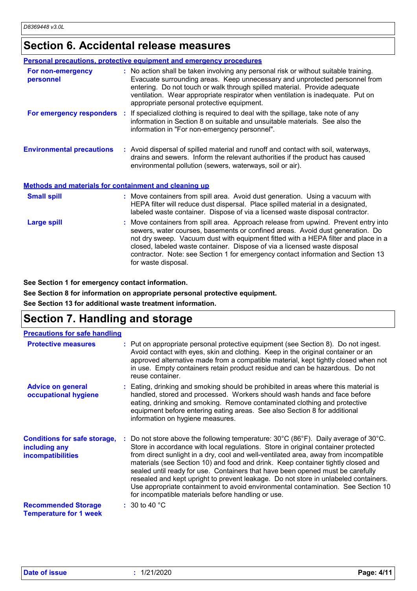## **Section 6. Accidental release measures**

|                                                       | <b>Personal precautions, protective equipment and emergency procedures</b>                                                                                                                                                                                                                                                                                                                                                                       |
|-------------------------------------------------------|--------------------------------------------------------------------------------------------------------------------------------------------------------------------------------------------------------------------------------------------------------------------------------------------------------------------------------------------------------------------------------------------------------------------------------------------------|
| For non-emergency<br>personnel                        | : No action shall be taken involving any personal risk or without suitable training.<br>Evacuate surrounding areas. Keep unnecessary and unprotected personnel from<br>entering. Do not touch or walk through spilled material. Provide adequate<br>ventilation. Wear appropriate respirator when ventilation is inadequate. Put on<br>appropriate personal protective equipment.                                                                |
|                                                       | For emergency responders : If specialized clothing is required to deal with the spillage, take note of any<br>information in Section 8 on suitable and unsuitable materials. See also the<br>information in "For non-emergency personnel".                                                                                                                                                                                                       |
| <b>Environmental precautions</b>                      | : Avoid dispersal of spilled material and runoff and contact with soil, waterways,<br>drains and sewers. Inform the relevant authorities if the product has caused<br>environmental pollution (sewers, waterways, soil or air).                                                                                                                                                                                                                  |
| Methods and materials for containment and cleaning up |                                                                                                                                                                                                                                                                                                                                                                                                                                                  |
| <b>Small spill</b>                                    | : Move containers from spill area. Avoid dust generation. Using a vacuum with<br>HEPA filter will reduce dust dispersal. Place spilled material in a designated,<br>labeled waste container. Dispose of via a licensed waste disposal contractor.                                                                                                                                                                                                |
| <b>Large spill</b>                                    | Move containers from spill area. Approach release from upwind. Prevent entry into<br>sewers, water courses, basements or confined areas. Avoid dust generation. Do<br>not dry sweep. Vacuum dust with equipment fitted with a HEPA filter and place in a<br>closed, labeled waste container. Dispose of via a licensed waste disposal<br>contractor. Note: see Section 1 for emergency contact information and Section 13<br>for waste disposal. |

**See Section 1 for emergency contact information.**

**See Section 8 for information on appropriate personal protective equipment.**

**See Section 13 for additional waste treatment information.**

## **Section 7. Handling and storage**

| <b>Precautions for safe handling</b>                                             |                                                                                                                                                                                                                                                                                                                                                                                                                                                                                                                                                                                                                                                                                                      |
|----------------------------------------------------------------------------------|------------------------------------------------------------------------------------------------------------------------------------------------------------------------------------------------------------------------------------------------------------------------------------------------------------------------------------------------------------------------------------------------------------------------------------------------------------------------------------------------------------------------------------------------------------------------------------------------------------------------------------------------------------------------------------------------------|
| <b>Protective measures</b>                                                       | : Put on appropriate personal protective equipment (see Section 8). Do not ingest.<br>Avoid contact with eyes, skin and clothing. Keep in the original container or an<br>approved alternative made from a compatible material, kept tightly closed when not<br>in use. Empty containers retain product residue and can be hazardous. Do not<br>reuse container.                                                                                                                                                                                                                                                                                                                                     |
| <b>Advice on general</b><br>occupational hygiene                                 | : Eating, drinking and smoking should be prohibited in areas where this material is<br>handled, stored and processed. Workers should wash hands and face before<br>eating, drinking and smoking. Remove contaminated clothing and protective<br>equipment before entering eating areas. See also Section 8 for additional<br>information on hygiene measures.                                                                                                                                                                                                                                                                                                                                        |
| <b>Conditions for safe storage,</b><br>including any<br><b>incompatibilities</b> | Do not store above the following temperature: $30^{\circ}$ C (86 $^{\circ}$ F). Daily average of $30^{\circ}$ C.<br>Store in accordance with local regulations. Store in original container protected<br>from direct sunlight in a dry, cool and well-ventilated area, away from incompatible<br>materials (see Section 10) and food and drink. Keep container tightly closed and<br>sealed until ready for use. Containers that have been opened must be carefully<br>resealed and kept upright to prevent leakage. Do not store in unlabeled containers.<br>Use appropriate containment to avoid environmental contamination. See Section 10<br>for incompatible materials before handling or use. |
| <b>Recommended Storage</b><br><b>Temperature for 1 week</b>                      | $: 30$ to 40 °C                                                                                                                                                                                                                                                                                                                                                                                                                                                                                                                                                                                                                                                                                      |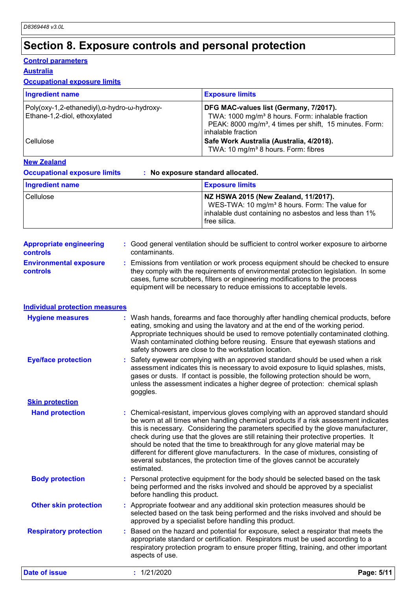# **Section 8. Exposure controls and personal protection**

### **Control parameters**

### **Australia**

### **Occupational exposure limits**

| <b>Ingredient name</b>                                                      | <b>Exposure limits</b>                                                                                                                                                                               |
|-----------------------------------------------------------------------------|------------------------------------------------------------------------------------------------------------------------------------------------------------------------------------------------------|
| Poly(oxy-1,2-ethanediyl),α-hydro-ω-hydroxy-<br>Ethane-1,2-diol, ethoxylated | DFG MAC-values list (Germany, 7/2017).<br>TWA: 1000 mg/m <sup>3</sup> 8 hours. Form: inhalable fraction<br>PEAK: 8000 mg/m <sup>3</sup> , 4 times per shift, 15 minutes. Form:<br>inhalable fraction |
| <b>Cellulose</b>                                                            | Safe Work Australia (Australia, 4/2018).<br>TWA: 10 mg/m <sup>3</sup> 8 hours. Form: fibres                                                                                                          |

### **New Zealand**

**Occupational exposure limits : No exposure standard allocated.**

| Ingredient name | <b>Exposure limits</b>                                                                                                                                                       |
|-----------------|------------------------------------------------------------------------------------------------------------------------------------------------------------------------------|
| Cellulose       | NZ HSWA 2015 (New Zealand, 11/2017).<br>WES-TWA: 10 mg/m <sup>3</sup> 8 hours. Form: The value for<br>inhalable dust containing no asbestos and less than 1%<br>free silica. |

| <b>Appropriate engineering</b>                   | : Good general ventilation should be sufficient to control worker exposure to airborne                                                                                                                                                                                                                                          |
|--------------------------------------------------|---------------------------------------------------------------------------------------------------------------------------------------------------------------------------------------------------------------------------------------------------------------------------------------------------------------------------------|
| <b>controls</b>                                  | contaminants.                                                                                                                                                                                                                                                                                                                   |
| <b>Environmental exposure</b><br><b>controls</b> | : Emissions from ventilation or work process equipment should be checked to ensure<br>they comply with the requirements of environmental protection legislation. In some<br>cases, fume scrubbers, filters or engineering modifications to the process<br>equipment will be necessary to reduce emissions to acceptable levels. |

| <b>Individual protection measures</b> |  |  |
|---------------------------------------|--|--|
|                                       |  |  |

| <b>Hygiene measures</b>       | : Wash hands, forearms and face thoroughly after handling chemical products, before<br>eating, smoking and using the lavatory and at the end of the working period.<br>Appropriate techniques should be used to remove potentially contaminated clothing.<br>Wash contaminated clothing before reusing. Ensure that eyewash stations and<br>safety showers are close to the workstation location.                                                                                                                                                                                                                         |
|-------------------------------|---------------------------------------------------------------------------------------------------------------------------------------------------------------------------------------------------------------------------------------------------------------------------------------------------------------------------------------------------------------------------------------------------------------------------------------------------------------------------------------------------------------------------------------------------------------------------------------------------------------------------|
| <b>Eye/face protection</b>    | : Safety eyewear complying with an approved standard should be used when a risk<br>assessment indicates this is necessary to avoid exposure to liquid splashes, mists,<br>gases or dusts. If contact is possible, the following protection should be worn,<br>unless the assessment indicates a higher degree of protection: chemical splash<br>goggles.                                                                                                                                                                                                                                                                  |
| <b>Skin protection</b>        |                                                                                                                                                                                                                                                                                                                                                                                                                                                                                                                                                                                                                           |
| <b>Hand protection</b>        | : Chemical-resistant, impervious gloves complying with an approved standard should<br>be worn at all times when handling chemical products if a risk assessment indicates<br>this is necessary. Considering the parameters specified by the glove manufacturer,<br>check during use that the gloves are still retaining their protective properties. It<br>should be noted that the time to breakthrough for any glove material may be<br>different for different glove manufacturers. In the case of mixtures, consisting of<br>several substances, the protection time of the gloves cannot be accurately<br>estimated. |
| <b>Body protection</b>        | : Personal protective equipment for the body should be selected based on the task<br>being performed and the risks involved and should be approved by a specialist<br>before handling this product.                                                                                                                                                                                                                                                                                                                                                                                                                       |
| <b>Other skin protection</b>  | : Appropriate footwear and any additional skin protection measures should be<br>selected based on the task being performed and the risks involved and should be<br>approved by a specialist before handling this product.                                                                                                                                                                                                                                                                                                                                                                                                 |
| <b>Respiratory protection</b> | : Based on the hazard and potential for exposure, select a respirator that meets the<br>appropriate standard or certification. Respirators must be used according to a<br>respiratory protection program to ensure proper fitting, training, and other important<br>aspects of use.                                                                                                                                                                                                                                                                                                                                       |

**Date of issue :** 1/21/2020 **Page: 5/11**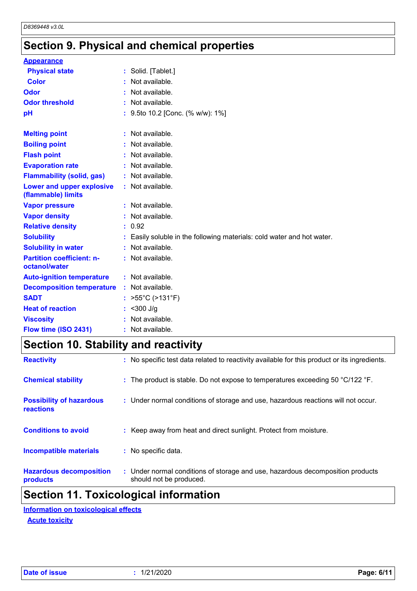# **Section 9. Physical and chemical properties**

| <b>Appearance</b>                                      |                                                                      |
|--------------------------------------------------------|----------------------------------------------------------------------|
| <b>Physical state</b>                                  | : Solid. [Tablet.]                                                   |
| Color                                                  | Not available.                                                       |
| Odor                                                   | Not available.                                                       |
| <b>Odor threshold</b>                                  | : Not available.                                                     |
| рH                                                     | : 9.5to 10.2 [Conc. (% w/w): 1%]                                     |
|                                                        |                                                                      |
| <b>Melting point</b>                                   | : Not available.                                                     |
| <b>Boiling point</b>                                   | $:$ Not available.                                                   |
| <b>Flash point</b>                                     | Not available.                                                       |
| <b>Evaporation rate</b>                                | : Not available.                                                     |
| <b>Flammability (solid, gas)</b>                       | : Not available.                                                     |
| <b>Lower and upper explosive</b><br>(flammable) limits | : Not available.                                                     |
| <b>Vapor pressure</b>                                  | $:$ Not available.                                                   |
| <b>Vapor density</b>                                   | : Not available.                                                     |
| <b>Relative density</b>                                | : 0.92                                                               |
| <b>Solubility</b>                                      | Easily soluble in the following materials: cold water and hot water. |
| <b>Solubility in water</b>                             | : Not available.                                                     |
| <b>Partition coefficient: n-</b><br>octanol/water      | : Not available.                                                     |
| <b>Auto-ignition temperature</b>                       | : Not available.                                                     |
| <b>Decomposition temperature</b>                       | : Not available.                                                     |
| <b>SADT</b>                                            | : $>55^{\circ}$ C (>131 $^{\circ}$ F)                                |
| <b>Heat of reaction</b>                                | : $<$ 300 J/g                                                        |
| <b>Viscosity</b>                                       | : Not available.                                                     |
| Flow time (ISO 2431)                                   | Not available.                                                       |

# **Section 10. Stability and reactivity**

| <b>Hazardous decomposition</b><br>products          | : Under normal conditions of storage and use, hazardous decomposition products<br>should not be produced. |
|-----------------------------------------------------|-----------------------------------------------------------------------------------------------------------|
| <b>Incompatible materials</b>                       | : No specific data.                                                                                       |
| <b>Conditions to avoid</b>                          | : Keep away from heat and direct sunlight. Protect from moisture.                                         |
| <b>Possibility of hazardous</b><br><b>reactions</b> | : Under normal conditions of storage and use, hazardous reactions will not occur.                         |
| <b>Chemical stability</b>                           | : The product is stable. Do not expose to temperatures exceeding 50 °C/122 °F.                            |
| <b>Reactivity</b>                                   | : No specific test data related to reactivity available for this product or its ingredients.              |

### **Section 11. Toxicological information**

**Acute toxicity Information on toxicological effects**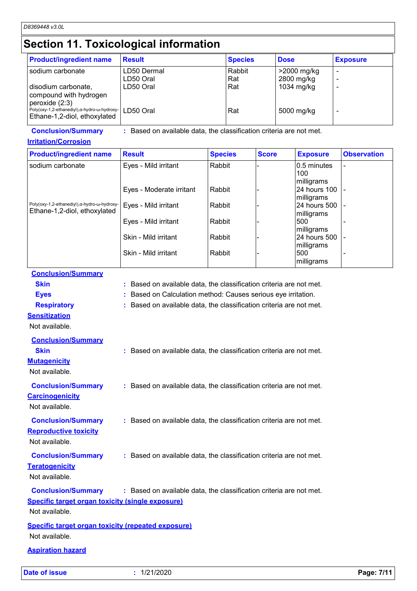# **Section 11. Toxicological information**

| <b>Product/ingredient name</b>                                                                 | <b>Result</b>            | <b>Species</b> | <b>Dose</b>               | <b>Exposure</b> |
|------------------------------------------------------------------------------------------------|--------------------------|----------------|---------------------------|-----------------|
| sodium carbonate                                                                               | LD50 Dermal<br>LD50 Oral | Rabbit<br>Rat  | >2000 mg/kg<br>2800 mg/kg |                 |
| disodium carbonate,<br>compound with hydrogen                                                  | LD50 Oral                | Rat            | 1034 mg/kg                |                 |
| peroxide (2:3)<br>Poly(oxy-1,2-ethanediyl), α-hydro-ω-hydroxy-<br>Ethane-1,2-diol, ethoxylated | LD50 Oral                | Rat            | 5000 mg/kg                |                 |

**Conclusion/Summary :** Based on available data, the classification criteria are not met.

**Irritation/Corrosion**

| <b>Product/ingredient name</b>               | <b>Result</b>            | <b>Species</b> | <b>Score</b> | <b>Exposure</b> | <b>Observation</b> |
|----------------------------------------------|--------------------------|----------------|--------------|-----------------|--------------------|
| sodium carbonate                             | Eyes - Mild irritant     | Rabbit         |              | 0.5 minutes     |                    |
|                                              |                          |                |              | 100             |                    |
|                                              |                          |                |              | milligrams      |                    |
|                                              | Eyes - Moderate irritant | Rabbit         |              | 24 hours 100    |                    |
|                                              |                          |                |              | milligrams      |                    |
| Poly(oxy-1,2-ethanediyl), α-hydro-ω-hydroxy- | Eyes - Mild irritant     | Rabbit         |              | 24 hours 500    |                    |
| Ethane-1,2-diol, ethoxylated                 |                          |                |              | milligrams      |                    |
|                                              | Eyes - Mild irritant     | Rabbit         |              | 500             |                    |
|                                              |                          |                |              | milligrams      |                    |
|                                              | Skin - Mild irritant     | Rabbit         |              | 24 hours 500    |                    |
|                                              |                          |                |              | milligrams      |                    |
|                                              | Skin - Mild irritant     | Rabbit         |              | 500             |                    |
|                                              |                          |                |              | milligrams      |                    |

**Conclusion/Summary**

**Skin Example 2018 :** Based on available data, the classification criteria are not met.

**Eyes :** Based on Calculation method: Causes serious eye irritation.

**Respiratory :** Based on available data, the classification criteria are not met.

**Sensitization**

Not available. **Conclusion/Summary**

| <b>Skin</b><br><b>Mutagenicity</b><br>Not available.                                                   | : Based on available data, the classification criteria are not met. |
|--------------------------------------------------------------------------------------------------------|---------------------------------------------------------------------|
| <b>Conclusion/Summary</b><br><b>Carcinogenicity</b><br>Not available.                                  | : Based on available data, the classification criteria are not met. |
| <b>Conclusion/Summary</b><br><b>Reproductive toxicity</b><br>Not available.                            | : Based on available data, the classification criteria are not met. |
| <b>Conclusion/Summary</b><br><b>Teratogenicity</b><br>Not available.                                   | : Based on available data, the classification criteria are not met. |
| <b>Conclusion/Summary</b><br><b>Specific target organ toxicity (single exposure)</b><br>Not available. | : Based on available data, the classification criteria are not met. |
| <b>Specific target organ toxicity (repeated exposure)</b><br>Not available.                            |                                                                     |

**Aspiration hazard**

**Date of issue :** 1/21/2020 **Page: 7/11**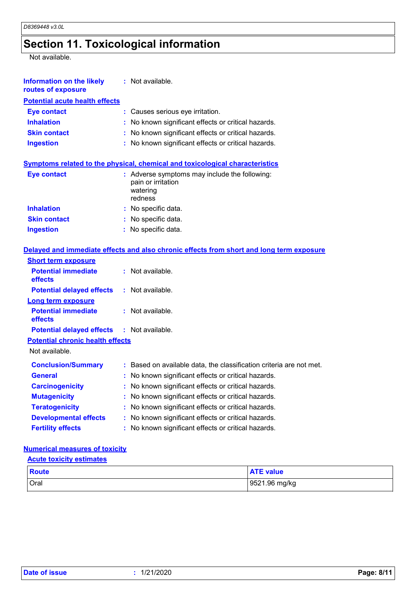# **Section 11. Toxicological information**

Not available.

| <b>Information on the likely</b><br>routes of exposure | : Not available.                                                                           |
|--------------------------------------------------------|--------------------------------------------------------------------------------------------|
| <b>Potential acute health effects</b>                  |                                                                                            |
| <b>Eye contact</b>                                     | : Causes serious eye irritation.                                                           |
| <b>Inhalation</b>                                      | : No known significant effects or critical hazards.                                        |
| <b>Skin contact</b>                                    | : No known significant effects or critical hazards.                                        |
| <b>Ingestion</b>                                       | : No known significant effects or critical hazards.                                        |
|                                                        | Symptoms related to the physical, chemical and toxicological characteristics               |
| <b>Eye contact</b>                                     | : Adverse symptoms may include the following:<br>pain or irritation<br>watering<br>redness |
| <b>Inhalation</b>                                      | : No specific data.                                                                        |
| <b>Skin contact</b>                                    | : No specific data.                                                                        |
| <b>Ingestion</b>                                       | : No specific data.                                                                        |
|                                                        | Delayed and immediate effects and also chronic effects from short and long term exposure   |
| <b>Short term exposure</b>                             |                                                                                            |
| <b>Potential immediate</b><br>effects                  | $:$ Not available.                                                                         |
| <b>Potential delayed effects</b>                       | $:$ Not available.                                                                         |
| <b>Long term exposure</b>                              |                                                                                            |
| <b>Potential immediate</b><br>effects                  | $:$ Not available.                                                                         |
| <b>Potential delayed effects</b>                       | $:$ Not available.                                                                         |
| <b>Potential chronic health effects</b>                |                                                                                            |
| Not available.                                         |                                                                                            |
| <b>Conclusion/Summary</b>                              | : Based on available data, the classification criteria are not met.                        |
| <b>General</b>                                         | No known significant effects or critical hazards.                                          |
| <b>Carcinogenicity</b>                                 | No known significant effects or critical hazards.                                          |
| <b>Mutagenicity</b>                                    | No known significant effects or critical hazards.                                          |
| <b>Teratogenicity</b>                                  | No known significant effects or critical hazards.                                          |
| <b>Developmental effects</b>                           | : No known significant effects or critical hazards.                                        |
| <b>Fertility effects</b>                               | : No known significant effects or critical hazards.                                        |
|                                                        |                                                                                            |

### **Numerical measures of toxicity**

#### **Acute toxicity estimates**

| <b>Route</b> | <b>ATE value</b> |
|--------------|------------------|
| Oral         | 9521.96 mg/kg    |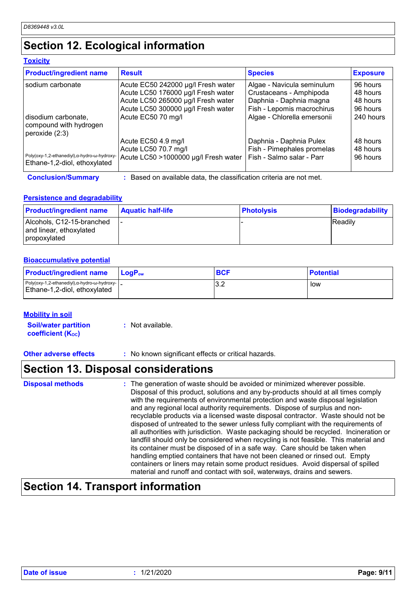# **Section 12. Ecological information**

### **Toxicity**

| <b>Product/ingredient name</b>                                               | <b>Result</b>                                                     | <b>Species</b>              | <b>Exposure</b> |
|------------------------------------------------------------------------------|-------------------------------------------------------------------|-----------------------------|-----------------|
| l sodium carbonate                                                           | Acute EC50 242000 µg/l Fresh water                                | Algae - Navicula seminulum  | 96 hours        |
|                                                                              | Acute LC50 176000 µg/l Fresh water                                | Crustaceans - Amphipoda     | 48 hours        |
|                                                                              | Acute LC50 265000 µg/l Fresh water                                | Daphnia - Daphnia magna     | 48 hours        |
|                                                                              | Acute LC50 300000 µg/l Fresh water                                | Fish - Lepomis macrochirus  | 96 hours        |
| l disodium carbonate.<br>compound with hydrogen<br>peroxide (2:3)            | Acute EC50 70 mg/l                                                | Algae - Chlorella emersonii | 240 hours       |
|                                                                              | Acute EC50 4.9 mg/l                                               | Daphnia - Daphnia Pulex     | 48 hours        |
|                                                                              | Acute LC50 70.7 mg/l                                              | Fish - Pimephales promelas  | 48 hours        |
| Poly(oxy-1,2-ethanediyl), a-hydro-w-hydroxy-<br>Ethane-1,2-diol, ethoxylated | Acute LC50 >1000000 µg/l Fresh water                              | Fish - Salmo salar - Parr   | 96 hours        |
| <b>Conclusion/Summary</b>                                                    | Based on available data, the classification criteria are not met. |                             |                 |

### **Persistence and degradability**

| <b>Product/ingredient name</b>                                       | <b>Aquatic half-life</b> | <b>Photolysis</b> | Biodegradability |
|----------------------------------------------------------------------|--------------------------|-------------------|------------------|
| Alcohols, C12-15-branched<br>and linear, ethoxylated<br>propoxylated |                          |                   | <b>Readily</b>   |

#### **Bioaccumulative potential**

| <b>Product/ingredient name</b>                                                                | <b>LogP</b> <sub>ow</sub> | <b>BCF</b> | ∣ Potential |
|-----------------------------------------------------------------------------------------------|---------------------------|------------|-------------|
| Poly(oxy-1,2-ethanediyl), $\alpha$ -hydro- $\omega$ -hydroxy-<br>Ethane-1,2-diol, ethoxylated |                           | ے.ب        | low         |

### **Mobility in soil**

**Soil/water partition coefficient (Koc) :** Not available.

**Other adverse effects** : No known significant effects or critical hazards.

# **Section 13. Disposal considerations**

| <b>Disposal methods</b> | : The generation of waste should be avoided or minimized wherever possible.<br>Disposal of this product, solutions and any by-products should at all times comply<br>with the requirements of environmental protection and waste disposal legislation<br>and any regional local authority requirements. Dispose of surplus and non-<br>recyclable products via a licensed waste disposal contractor. Waste should not be<br>disposed of untreated to the sewer unless fully compliant with the requirements of<br>all authorities with jurisdiction. Waste packaging should be recycled. Incineration or |
|-------------------------|----------------------------------------------------------------------------------------------------------------------------------------------------------------------------------------------------------------------------------------------------------------------------------------------------------------------------------------------------------------------------------------------------------------------------------------------------------------------------------------------------------------------------------------------------------------------------------------------------------|
|                         | landfill should only be considered when recycling is not feasible. This material and<br>its container must be disposed of in a safe way. Care should be taken when<br>handling emptied containers that have not been cleaned or rinsed out. Empty<br>containers or liners may retain some product residues. Avoid dispersal of spilled<br>material and runoff and contact with soil, waterways, drains and sewers.                                                                                                                                                                                       |

# **Section 14. Transport information**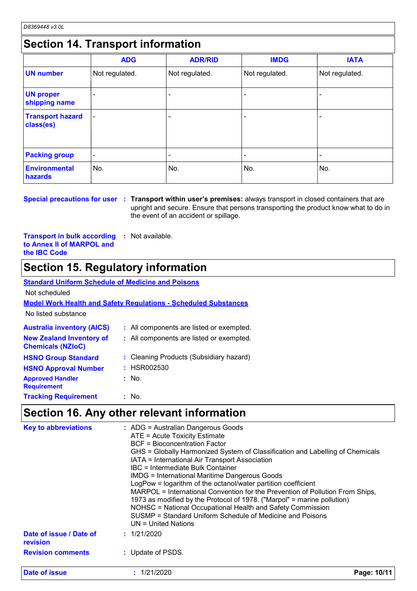## **Section 14. Transport information**

|                                      | <b>ADG</b>               | <b>ADR/RID</b> | <b>IMDG</b>    | <b>IATA</b>              |  |  |  |  |
|--------------------------------------|--------------------------|----------------|----------------|--------------------------|--|--|--|--|
| <b>UN number</b>                     | Not regulated.           | Not regulated. | Not regulated. | Not regulated.           |  |  |  |  |
| <b>UN proper</b><br>shipping name    |                          |                |                |                          |  |  |  |  |
| <b>Transport hazard</b><br>class(es) | $\overline{\phantom{0}}$ |                |                |                          |  |  |  |  |
| <b>Packing group</b>                 | $\overline{\phantom{0}}$ |                |                | $\overline{\phantom{0}}$ |  |  |  |  |
| <b>Environmental</b><br>hazards      | No.                      | No.            | No.            | No.                      |  |  |  |  |

**Special precautions for user Transport within user's premises:** always transport in closed containers that are **:** upright and secure. Ensure that persons transporting the product know what to do in the event of an accident or spillage.

**Transport in bulk according to Annex II of MARPOL and the IBC Code :** Not available.

### **Section 15. Regulatory information**

#### **Australia inventory (AICS) :** All components are listed or exempted. **Standard Uniform Schedule of Medicine and Poisons Model Work Health and Safety Regulations - Scheduled Substances** No listed substance Not scheduled **New Zealand Inventory of Chemicals (NZIoC) :** All components are listed or exempted. **HSNO Approval Number HSNO Group Standard Approved Handler Requirement Tracking Requirement : :** Cleaning Products (Subsidiary hazard) **:** HSR002530 **:** No. : No.

### **Section 16. Any other relevant information**

| <b>Key to abbreviations</b>         | $\therefore$ ADG = Australian Dangerous Goods<br>ATE = Acute Toxicity Estimate<br>BCF = Bioconcentration Factor<br>GHS = Globally Harmonized System of Classification and Labelling of Chemicals<br>IATA = International Air Transport Association<br>IBC = Intermediate Bulk Container<br><b>IMDG = International Maritime Dangerous Goods</b><br>LogPow = logarithm of the octanol/water partition coefficient<br>MARPOL = International Convention for the Prevention of Pollution From Ships,<br>1973 as modified by the Protocol of 1978. ("Marpol" = marine pollution)<br>NOHSC = National Occupational Health and Safety Commission<br>SUSMP = Standard Uniform Schedule of Medicine and Poisons<br>$UN = United Nations$ |
|-------------------------------------|----------------------------------------------------------------------------------------------------------------------------------------------------------------------------------------------------------------------------------------------------------------------------------------------------------------------------------------------------------------------------------------------------------------------------------------------------------------------------------------------------------------------------------------------------------------------------------------------------------------------------------------------------------------------------------------------------------------------------------|
| Date of issue / Date of<br>revision | : 1/21/2020                                                                                                                                                                                                                                                                                                                                                                                                                                                                                                                                                                                                                                                                                                                      |
| <b>Revision comments</b>            | : Update of PSDS.                                                                                                                                                                                                                                                                                                                                                                                                                                                                                                                                                                                                                                                                                                                |
| <b>Date of issue</b>                | : 1/21/2020<br>Page: 10/11                                                                                                                                                                                                                                                                                                                                                                                                                                                                                                                                                                                                                                                                                                       |